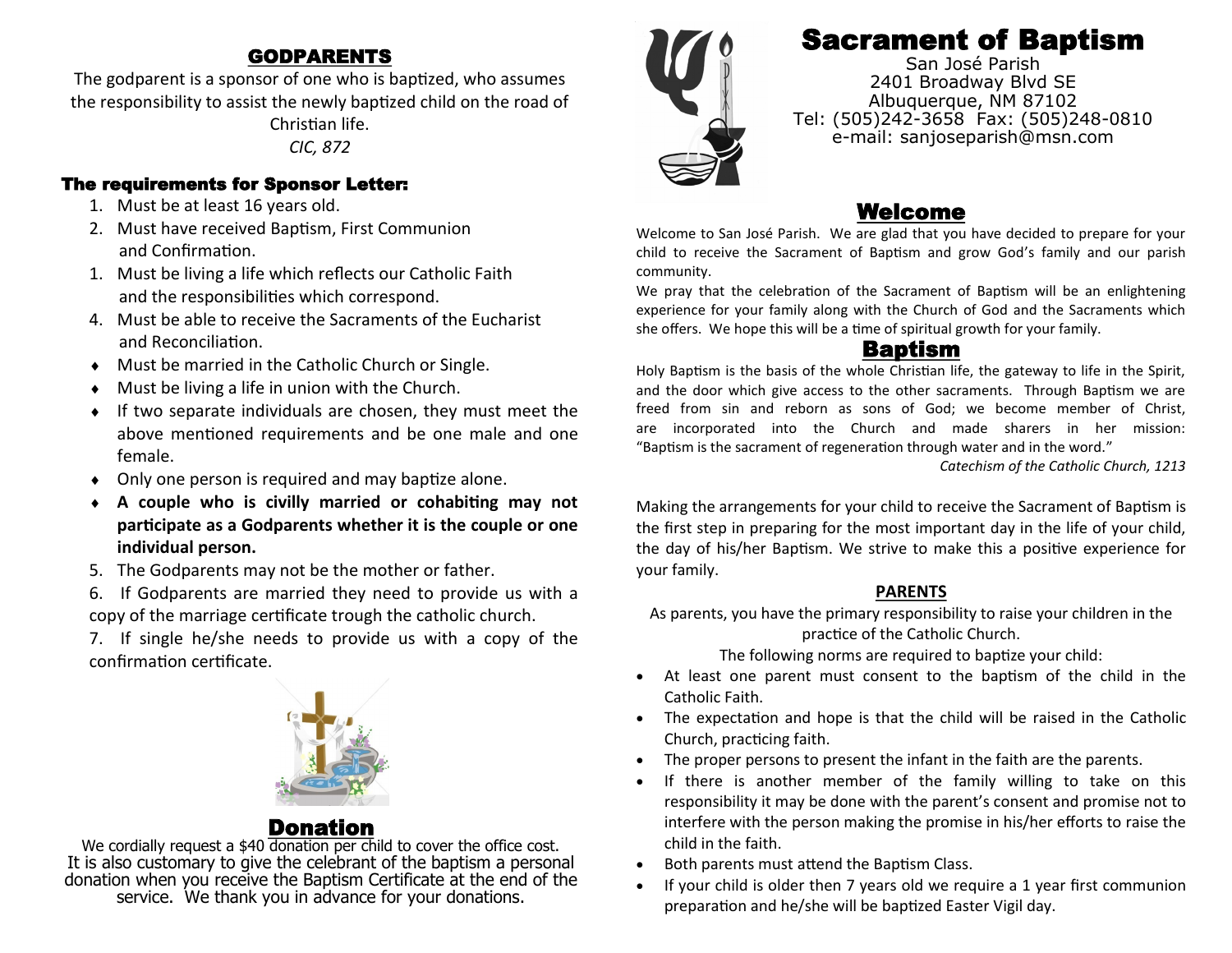#### GODPARENTS

The godparent is a sponsor of one who is baptized, who assumes the responsibility to assist the newly baptized child on the road of

> Christian life. *CIC, 872*

#### The requirements for Sponsor Letter:

- 1. Must be at least 16 years old.
- 2. Must have received Baptism, First Communion and Confirmation.
- 1. Must be living a life which reflects our Catholic Faith and the responsibilities which correspond.
- 4. Must be able to receive the Sacraments of the Eucharist and Reconciliation.
- $\bullet$  Must be married in the Catholic Church or Single.
- Must be living a life in union with the Church.
- If two separate individuals are chosen, they must meet the above mentioned requirements and be one male and one female.
- Only one person is required and may baptize alone.
- **A couple who is civilly married or cohabiting may not participate as a Godparents whether it is the couple or one individual person.**
- 5. The Godparents may not be the mother or father.
- 6. If Godparents are married they need to provide us with a copy of the marriage certificate trough the catholic church.
- 7. If single he/she needs to provide us with a copy of the confirmation certificate.



## Donatio

We cordially request a \$40 donation per child to cover the office cost. It is also customary to give the celebrant of the baptism a personal donation when you receive the Baptism Certificate at the end of the service. We thank you in advance for your donations.



# Sacrament of Baptism

San José Parish 2401 Broadway Blvd SE Albuquerque, NM 87102 Tel: (505)242-3658 Fax: (505)248-0810 e-mail: sanjoseparish@msn.com

#### Welcome

Welcome to San José Parish. We are glad that you have decided to prepare for your child to receive the Sacrament of Baptism and grow God's family and our parish community.

We pray that the celebration of the Sacrament of Baptism will be an enlightening experience for your family along with the Church of God and the Sacraments which she offers. We hope this will be a time of spiritual growth for your family.

#### Baptism

Holy Baptism is the basis of the whole Christian life, the gateway to life in the Spirit, and the door which give access to the other sacraments. Through Baptism we are freed from sin and reborn as sons of God; we become member of Christ, are incorporated into the Church and made sharers in her mission: "Baptism is the sacrament of regeneration through water and in the word."

*Catechism of the Catholic Church, 1213*

Making the arrangements for your child to receive the Sacrament of Baptism is the first step in preparing for the most important day in the life of your child, the day of his/her Baptism. We strive to make this a positive experience for your family.

#### **PARENTS**

As parents, you have the primary responsibility to raise your children in the practice of the Catholic Church.

The following norms are required to baptize your child:

- At least one parent must consent to the baptism of the child in the Catholic Faith.
- The expectation and hope is that the child will be raised in the Catholic Church, practicing faith.
- The proper persons to present the infant in the faith are the parents.
- If there is another member of the family willing to take on this responsibility it may be done with the parent's consent and promise not to interfere with the person making the promise in his/her efforts to raise the child in the faith.
- Both parents must attend the Baptism Class.
- If your child is older then 7 years old we require a 1 year first communion preparation and he/she will be baptized Easter Vigil day.